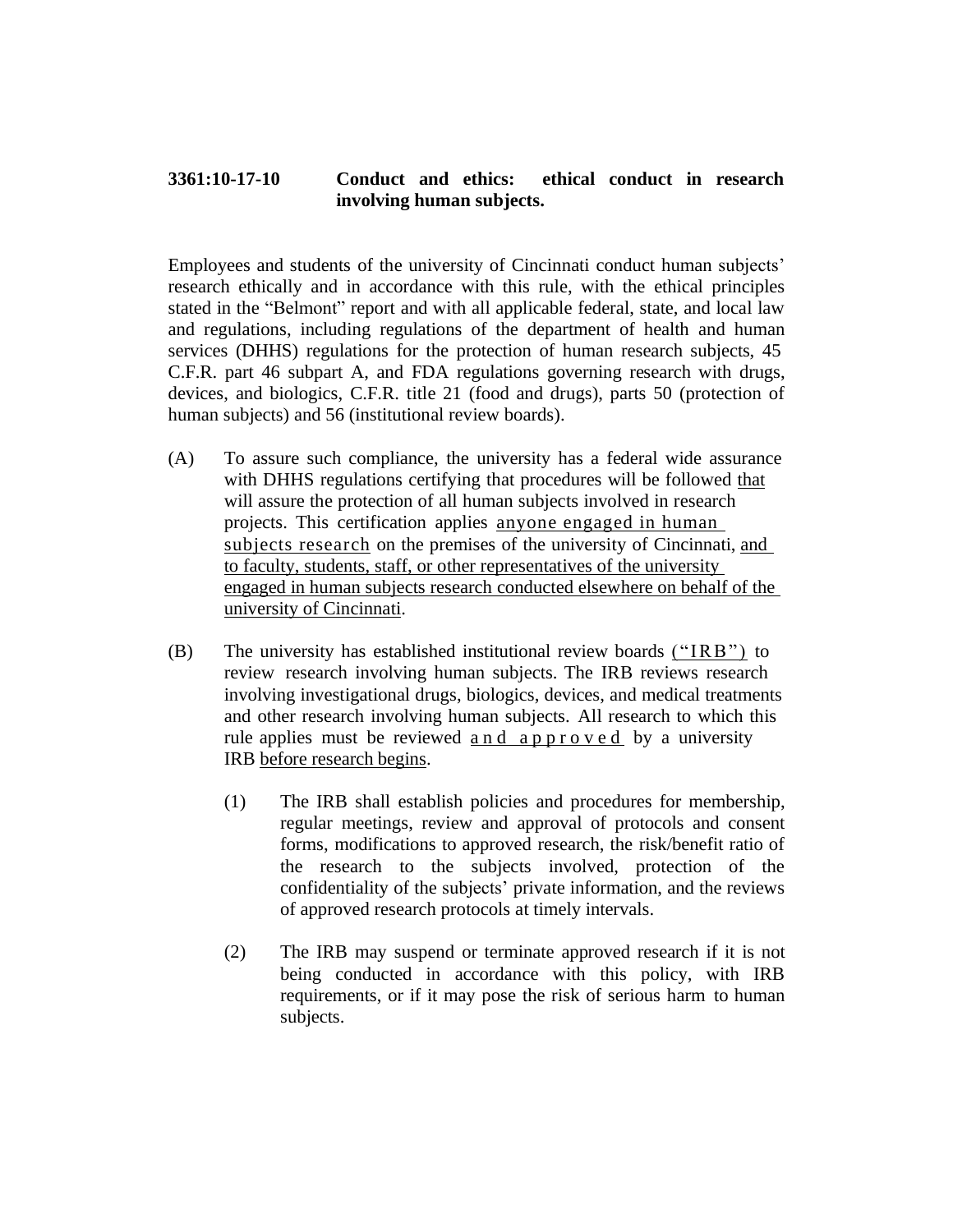## **3361:10-17-10 Conduct and ethics: ethical conduct in research involving human subjects.**

Employees and students of the university of Cincinnati conduct human subjects' research ethically and in accordance with this rule, with the ethical principles stated in the "Belmont" report and with all applicable federal, state, and local law and regulations, including regulations of the department of health and human services (DHHS) regulations for the protection of human research subjects, 45 C.F.R. part 46 subpart A, and FDA regulations governing research with drugs, devices, and biologics, C.F.R. title 21 (food and drugs), parts 50 (protection of human subjects) and 56 (institutional review boards).

- (A) To assure such compliance, the university has a federal wide assurance with DHHS regulations certifying that procedures will be followed that will assure the protection of all human subjects involved in research projects. This certification applies anyone engaged in human subjects research on the premises of the university of Cincinnati, and to faculty, students, staff, or other representatives of the university engaged in human subjects research conducted elsewhere on behalf of the university of Cincinnati.
- (B) The university has established institutional review boards ("IRB") to review research involving human subjects. The IRB reviews research involving investigational drugs, biologics, devices, and medical treatments and other research involving human subjects. All research to which this rule applies must be reviewed and approved by a university IRB before research begins.
	- (1) The IRB shall establish policies and procedures for membership, regular meetings, review and approval of protocols and consent forms, modifications to approved research, the risk/benefit ratio of the research to the subjects involved, protection of the confidentiality of the subjects' private information, and the reviews of approved research protocols at timely intervals.
	- (2) The IRB may suspend or terminate approved research if it is not being conducted in accordance with this policy, with IRB requirements, or if it may pose the risk of serious harm to human subjects.